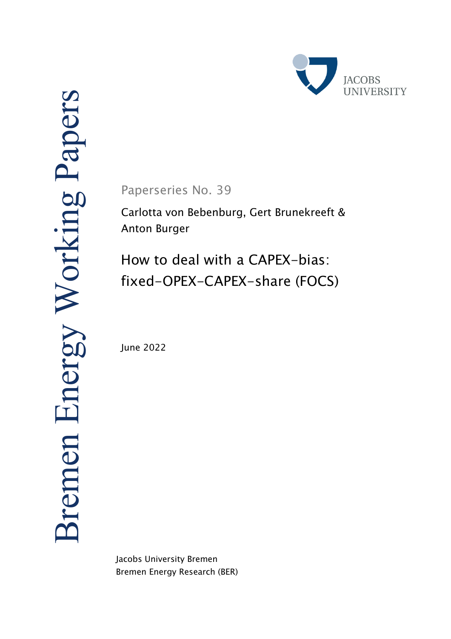

Paperseries No. 39

Carlotta von Bebenburg, Gert Brunekreeft & Anton Burger

How to deal with a CAPEX-bias: fixed-OPEX-CAPEX-share (FOCS)

June 2022

Jacobs University Bremen Bremen Energy Research (BER)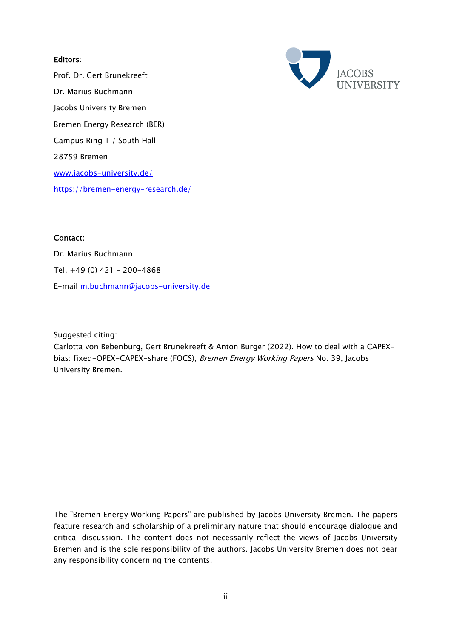# Editors:

Prof. Dr. Gert Brunekreeft Dr. Marius Buchmann Jacobs University Bremen Bremen Energy Research (BER) Campus Ring 1 / South Hall 28759 Bremen www.jacobs-university.de/ https://bremen-energy-research.de/



# Contact:

Dr. Marius Buchmann Tel. +49 (0) 421 – 200-4868 E-mail m.buchmann@jacobs-university.de

Suggested citing:

Carlotta von Bebenburg, Gert Brunekreeft & Anton Burger (2022). How to deal with a CAPEXbias: fixed-OPEX-CAPEX-share (FOCS), Bremen Energy Working Papers No. 39, Jacobs University Bremen.

The "Bremen Energy Working Papers" are published by Jacobs University Bremen. The papers feature research and scholarship of a preliminary nature that should encourage dialogue and critical discussion. The content does not necessarily reflect the views of Jacobs University Bremen and is the sole responsibility of the authors. Jacobs University Bremen does not bear any responsibility concerning the contents.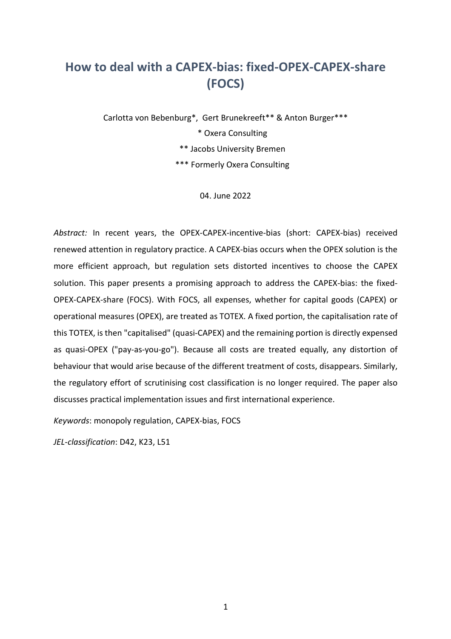# **How to deal with a CAPEX-bias: fixed-OPEX-CAPEX-share (FOCS)**

Carlotta von Bebenburg\*, Gert Brunekreeft\*\* & Anton Burger\*\*\* \* Oxera Consulting \*\* Jacobs University Bremen

\*\*\* Formerly Oxera Consulting

04. June 2022

*Abstract:* In recent years, the OPEX-CAPEX-incentive-bias (short: CAPEX-bias) received renewed attention in regulatory practice. A CAPEX-bias occurs when the OPEX solution is the more efficient approach, but regulation sets distorted incentives to choose the CAPEX solution. This paper presents a promising approach to address the CAPEX-bias: the fixed-OPEX-CAPEX-share (FOCS). With FOCS, all expenses, whether for capital goods (CAPEX) or operational measures (OPEX), are treated as TOTEX. A fixed portion, the capitalisation rate of this TOTEX, is then "capitalised" (quasi-CAPEX) and the remaining portion is directly expensed as quasi-OPEX ("pay-as-you-go"). Because all costs are treated equally, any distortion of behaviour that would arise because of the different treatment of costs, disappears. Similarly, the regulatory effort of scrutinising cost classification is no longer required. The paper also discusses practical implementation issues and first international experience.

*Keywords*: monopoly regulation, CAPEX-bias, FOCS

*JEL-classification*: D42, K23, L51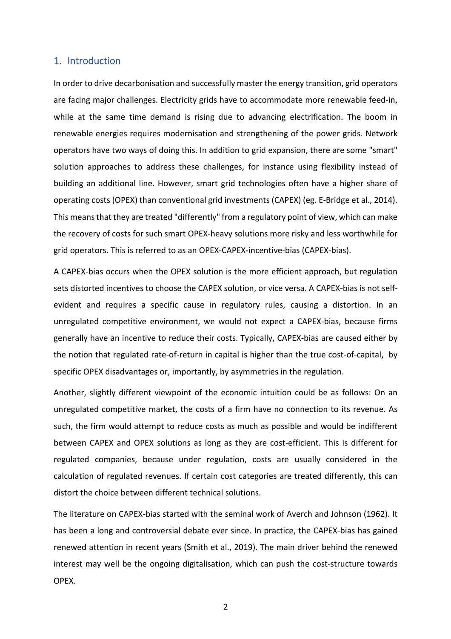# 1. Introduction

In order to drive decarbonisation and successfully master the energy transition, grid operators are facing major challenges. Electricity grids have to accommodate more renewable feed-in, while at the same time demand is rising due to advancing electrification. The boom in renewable energies requires modernisation and strengthening of the power grids. Network operators have two ways of doing this. In addition to grid expansion, there are some "smart" solution approaches to address these challenges, for instance using flexibility instead of building an additional line. However, smart grid technologies often have a higher share of operating costs (OPEX) than conventional grid investments (CAPEX) (eg. E-Bridge et al., 2014). This means that they are treated "differently" from a regulatory point of view, which can make the recovery of costs for such smart OPEX-heavy solutions more risky and less worthwhile for grid operators. This is referred to as an OPEX-CAPEX-incentive-bias (CAPEX-bias).

A CAPEX-bias occurs when the OPEX solution is the more efficient approach, but regulation sets distorted incentives to choose the CAPEX solution, or vice versa. A CAPEX-bias is not selfevident and requires a specific cause in regulatory rules, causing a distortion. In an unregulated competitive environment, we would not expect a CAPEX-bias, because firms generally have an incentive to reduce their costs. Typically, CAPEX-bias are caused either by the notion that regulated rate-of-return in capital is higher than the true cost-of-capital, by specific OPEX disadvantages or, importantly, by asymmetries in the regulation.

Another, slightly different viewpoint of the economic intuition could be as follows: On an unregulated competitive market, the costs of a firm have no connection to its revenue. As such, the firm would attempt to reduce costs as much as possible and would be indifferent between CAPEX and OPEX solutions as long as they are cost-efficient. This is different for regulated companies, because under regulation, costs are usually considered in the calculation of regulated revenues. If certain cost categories are treated differently, this can distort the choice between different technical solutions.

The literature on CAPEX-bias started with the seminal work of Averch and Johnson (1962). It has been a long and controversial debate ever since. In practice, the CAPEX-bias has gained renewed attention in recent years (Smith et al., 2019). The main driver behind the renewed interest may well be the ongoing digitalisation, which can push the cost-structure towards OPEX.

<u>2</u>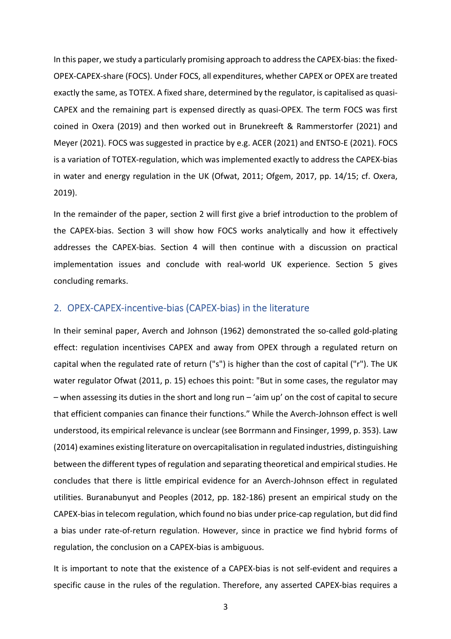In this paper, we study a particularly promising approach to address the CAPEX-bias: the fixed-OPEX-CAPEX-share (FOCS). Under FOCS, all expenditures, whether CAPEX or OPEX are treated exactly the same, as TOTEX. A fixed share, determined by the regulator, is capitalised as quasi-CAPEX and the remaining part is expensed directly as quasi-OPEX. The term FOCS was first coined in Oxera (2019) and then worked out in Brunekreeft & Rammerstorfer (2021) and Meyer (2021). FOCS was suggested in practice by e.g. ACER (2021) and ENTSO-E (2021). FOCS is a variation of TOTEX-regulation, which was implemented exactly to address the CAPEX-bias in water and energy regulation in the UK (Ofwat, 2011; Ofgem, 2017, pp. 14/15; cf. Oxera, 2019).

In the remainder of the paper, section 2 will first give a brief introduction to the problem of the CAPEX-bias. Section 3 will show how FOCS works analytically and how it effectively addresses the CAPEX-bias. Section 4 will then continue with a discussion on practical implementation issues and conclude with real-world UK experience. Section 5 gives concluding remarks.

#### 2. OPEX-CAPEX-incentive-bias (CAPEX-bias) in the literature

In their seminal paper, Averch and Johnson (1962) demonstrated the so-called gold-plating effect: regulation incentivises CAPEX and away from OPEX through a regulated return on capital when the regulated rate of return ("s") is higher than the cost of capital ("r"). The UK water regulator Ofwat (2011, p. 15) echoes this point: "But in some cases, the regulator may – when assessing its duties in the short and long run – 'aim up' on the cost of capital to secure that efficient companies can finance their functions." While the Averch-Johnson effect is well understood, its empirical relevance is unclear (see Borrmann and Finsinger, 1999, p. 353). Law (2014) examines existing literature on overcapitalisation in regulated industries, distinguishing between the different types of regulation and separating theoretical and empirical studies. He concludes that there is little empirical evidence for an Averch-Johnson effect in regulated utilities. Buranabunyut and Peoples (2012, pp. 182-186) present an empirical study on the CAPEX-bias in telecom regulation, which found no bias under price-cap regulation, but did find a bias under rate-of-return regulation. However, since in practice we find hybrid forms of regulation, the conclusion on a CAPEX-bias is ambiguous.

It is important to note that the existence of a CAPEX-bias is not self-evident and requires a specific cause in the rules of the regulation. Therefore, any asserted CAPEX-bias requires a

 $\sim$  3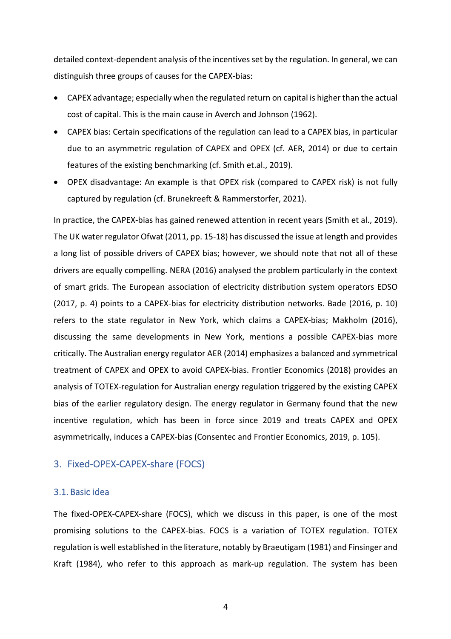detailed context-dependent analysis of the incentives set by the regulation. In general, we can distinguish three groups of causes for the CAPEX-bias:

- CAPEX advantage; especially when the regulated return on capital is higher than the actual cost of capital. This is the main cause in Averch and Johnson (1962).
- CAPEX bias: Certain specifications of the regulation can lead to a CAPEX bias, in particular due to an asymmetric regulation of CAPEX and OPEX (cf. AER, 2014) or due to certain features of the existing benchmarking (cf. Smith et.al., 2019).
- OPEX disadvantage: An example is that OPEX risk (compared to CAPEX risk) is not fully captured by regulation (cf. Brunekreeft & Rammerstorfer, 2021).

In practice, the CAPEX-bias has gained renewed attention in recent years (Smith et al., 2019). The UK water regulator Ofwat (2011, pp. 15-18) has discussed the issue at length and provides a long list of possible drivers of CAPEX bias; however, we should note that not all of these drivers are equally compelling. NERA (2016) analysed the problem particularly in the context of smart grids. The European association of electricity distribution system operators EDSO (2017, p. 4) points to a CAPEX-bias for electricity distribution networks. Bade (2016, p. 10) refers to the state regulator in New York, which claims a CAPEX-bias; Makholm (2016), discussing the same developments in New York, mentions a possible CAPEX-bias more critically. The Australian energy regulator AER (2014) emphasizes a balanced and symmetrical treatment of CAPEX and OPEX to avoid CAPEX-bias. Frontier Economics (2018) provides an analysis of TOTEX-regulation for Australian energy regulation triggered by the existing CAPEX bias of the earlier regulatory design. The energy regulator in Germany found that the new incentive regulation, which has been in force since 2019 and treats CAPEX and OPEX asymmetrically, induces a CAPEX-bias (Consentec and Frontier Economics, 2019, p. 105).

## 3. Fixed-OPEX-CAPEX-share (FOCS)

#### 3.1. Basic idea

The fixed-OPEX-CAPEX-share (FOCS), which we discuss in this paper, is one of the most promising solutions to the CAPEX-bias. FOCS is a variation of TOTEX regulation. TOTEX regulation is well established in the literature, notably by Braeutigam (1981) and Finsinger and Kraft (1984), who refer to this approach as mark-up regulation. The system has been

4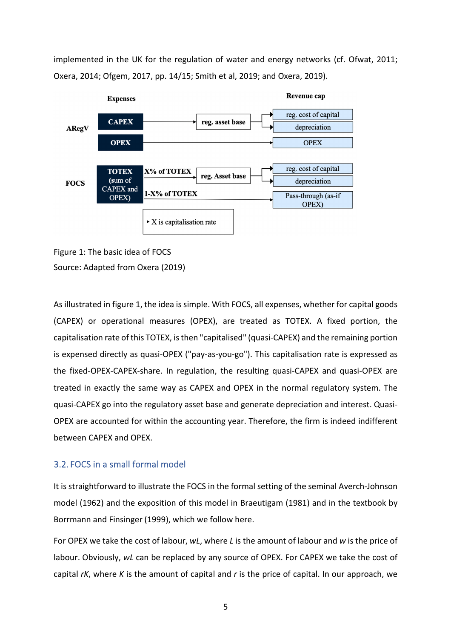implemented in the UK for the regulation of water and energy networks (cf. Ofwat, 2011; Oxera, 2014; Ofgem, 2017, pp. 14/15; Smith et al, 2019; and Oxera, 2019).



Figure 1: The basic idea of FOCS Source: Adapted from Oxera (2019)

As illustrated in figure 1, the idea is simple. With FOCS, all expenses, whether for capital goods (CAPEX) or operational measures (OPEX), are treated as TOTEX. A fixed portion, the capitalisation rate of this TOTEX, is then "capitalised" (quasi-CAPEX) and the remaining portion is expensed directly as quasi-OPEX ("pay-as-you-go"). This capitalisation rate is expressed as the fixed-OPEX-CAPEX-share. In regulation, the resulting quasi-CAPEX and quasi-OPEX are treated in exactly the same way as CAPEX and OPEX in the normal regulatory system. The quasi-CAPEX go into the regulatory asset base and generate depreciation and interest. Quasi-OPEX are accounted for within the accounting year. Therefore, the firm is indeed indifferent between CAPEX and OPEX.

# 3.2. FOCS in a small formal model

It is straightforward to illustrate the FOCS in the formal setting of the seminal Averch-Johnson model (1962) and the exposition of this model in Braeutigam (1981) and in the textbook by Borrmann and Finsinger (1999), which we follow here.

For OPEX we take the cost of labour, *wL*, where *L* is the amount of labour and *w* is the price of labour. Obviously, *wL* can be replaced by any source of OPEX. For CAPEX we take the cost of capital *rK*, where *K* is the amount of capital and *r* is the price of capital. In our approach, we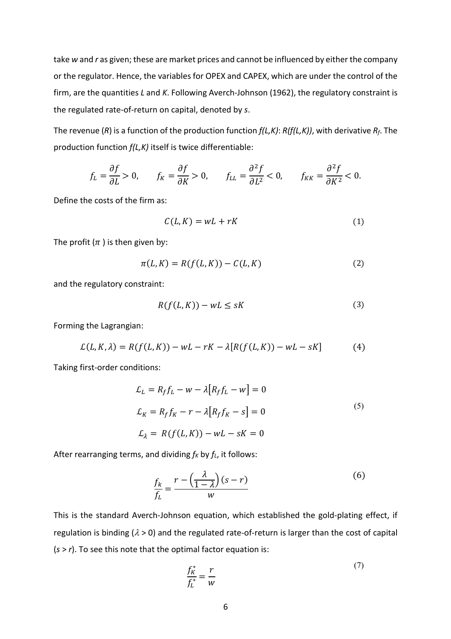take *w* and *r* as given; these are market prices and cannot be influenced by either the company or the regulator. Hence, the variables for OPEX and CAPEX, which are under the control of the firm, are the quantities *L* and *K*. Following Averch-Johnson (1962), the regulatory constraint is the regulated rate-of-return on capital, denoted by *s*.

The revenue (*R*) is a function of the production function *f(L,K)*: *R(f(L,K))*, with derivative *Rf*. The production function *f(L,K)* itself is twice differentiable:

$$
f_L = \frac{\partial f}{\partial L} > 0, \qquad f_K = \frac{\partial f}{\partial K} > 0, \qquad f_{LL} = \frac{\partial^2 f}{\partial L^2} < 0, \qquad f_{KK} = \frac{\partial^2 f}{\partial K^2} < 0.
$$

Define the costs of the firm as:

$$
C(L, K) = wL + rK \tag{1}
$$

The profit  $(\pi)$  is then given by:

$$
\pi(L, K) = R(f(L, K)) - C(L, K) \tag{2}
$$

and the regulatory constraint:

$$
R(f(L, K)) - wL \leq sK\tag{3}
$$

Forming the Lagrangian:

$$
\mathcal{L}(L, K, \lambda) = R(f(L, K)) - wL - rK - \lambda[R(f(L, K)) - wL - sK]
$$
 (4)

Taking first-order conditions:

$$
\mathcal{L}_L = R_f f_L - w - \lambda [R_f f_L - w] = 0
$$
  
\n
$$
\mathcal{L}_K = R_f f_K - r - \lambda [R_f f_K - s] = 0
$$
\n
$$
\mathcal{L}_\lambda = R(f(L, K)) - wL - sK = 0
$$
\n(5)

After rearranging terms, and dividing  $f_K$  by  $f_L$ , it follows:

$$
\frac{f_k}{f_L} = \frac{r - \left(\frac{\lambda}{1 - \lambda}\right)(s - r)}{w} \tag{6}
$$

This is the standard Averch-Johnson equation, which established the gold-plating effect, if regulation is binding ( $\lambda$  > 0) and the regulated rate-of-return is larger than the cost of capital (*s* > *r*). To see this note that the optimal factor equation is:

$$
\frac{f_K^*}{f_L^*} = \frac{r}{w} \tag{7}
$$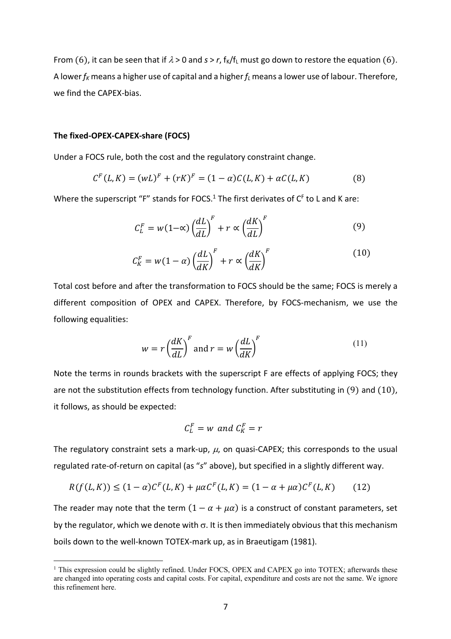From (6), it can be seen that if  $\lambda > 0$  and  $s > r$ ,  $f_K/f_L$  must go down to restore the equation (6). A lower *fK* means a higher use of capital and a higher *fL* means a lower use of labour. Therefore, we find the CAPEX-bias.

#### **The fixed-OPEX-CAPEX-share (FOCS)**

Under a FOCS rule, both the cost and the regulatory constraint change.

$$
CF(L,K) = (wL)F + (rK)F = (1 - \alpha)C(L,K) + \alpha C(L,K)
$$
 (8)

Where the superscript "F" stands for FOCS.<sup>1</sup> The first derivates of  $C<sup>F</sup>$  to L and K are:

$$
C_L^F = w(1-\alpha) \left(\frac{dL}{dL}\right)^F + r \propto \left(\frac{dK}{dL}\right)^F \tag{9}
$$

$$
C_K^F = w(1 - \alpha) \left(\frac{dL}{dK}\right)^F + r \propto \left(\frac{dK}{dK}\right)^F \tag{10}
$$

Total cost before and after the transformation to FOCS should be the same; FOCS is merely a different composition of OPEX and CAPEX. Therefore, by FOCS-mechanism, we use the following equalities:

$$
w = r \left(\frac{dK}{dL}\right)^F \text{ and } r = w \left(\frac{dL}{dK}\right)^F \tag{11}
$$

Note the terms in rounds brackets with the superscript F are effects of applying FOCS; they are not the substitution effects from technology function. After substituting in  $(9)$  and  $(10)$ , it follows, as should be expected:

$$
C_L^F = w \text{ and } C_K^F = r
$$

The regulatory constraint sets a mark-up,  $\mu$ , on quasi-CAPEX; this corresponds to the usual regulated rate-of-return on capital (as "*s*" above), but specified in a slightly different way.

$$
R(f(L,K)) \le (1-\alpha)C^{F}(L,K) + \mu\alpha C^{F}(L,K) = (1-\alpha+\mu\alpha)C^{F}(L,K) \qquad (12)
$$

The reader may note that the term  $(1 - \alpha + \mu \alpha)$  is a construct of constant parameters, set by the regulator, which we denote with  $\sigma$ . It is then immediately obvious that this mechanism boils down to the well-known TOTEX-mark up, as in Braeutigam (1981).

<sup>&</sup>lt;sup>1</sup> This expression could be slightly refined. Under FOCS, OPEX and CAPEX go into TOTEX; afterwards these are changed into operating costs and capital costs. For capital, expenditure and costs are not the same. We ignore this refinement here.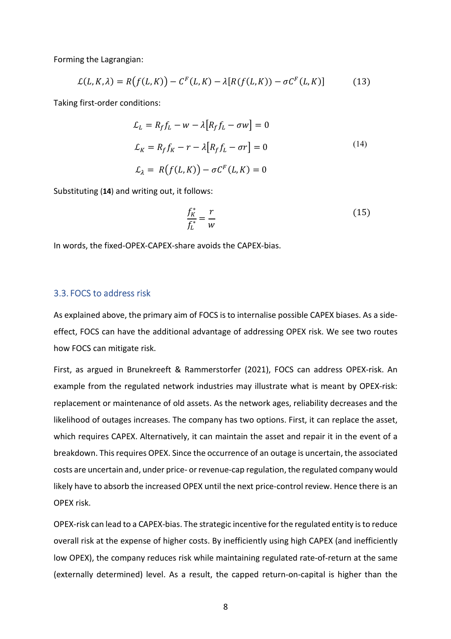Forming the Lagrangian:

$$
\mathcal{L}(L,K,\lambda) = R(f(L,K)) - C^{F}(L,K) - \lambda[R(f(L,K)) - \sigma C^{F}(L,K)] \tag{13}
$$

Taking first-order conditions:

$$
\mathcal{L}_L = R_f f_L - w - \lambda [R_f f_L - \sigma w] = 0
$$
  
\n
$$
\mathcal{L}_K = R_f f_K - r - \lambda [R_f f_L - \sigma r] = 0
$$
  
\n
$$
\mathcal{L}_\lambda = R(f(L, K)) - \sigma C^F(L, K) = 0
$$
\n(14)

Substituting (**14**) and writing out, it follows:

$$
\frac{f_K^*}{f_L^*} = \frac{r}{w} \tag{15}
$$

In words, the fixed-OPEX-CAPEX-share avoids the CAPEX-bias.

# 3.3. FOCS to address risk

As explained above, the primary aim of FOCS is to internalise possible CAPEX biases. As a sideeffect, FOCS can have the additional advantage of addressing OPEX risk. We see two routes how FOCS can mitigate risk.

First, as argued in Brunekreeft & Rammerstorfer (2021), FOCS can address OPEX-risk. An example from the regulated network industries may illustrate what is meant by OPEX-risk: replacement or maintenance of old assets. As the network ages, reliability decreases and the likelihood of outages increases. The company has two options. First, it can replace the asset, which requires CAPEX. Alternatively, it can maintain the asset and repair it in the event of a breakdown. This requires OPEX. Since the occurrence of an outage is uncertain, the associated costs are uncertain and, under price- or revenue-cap regulation, the regulated company would likely have to absorb the increased OPEX until the next price-control review. Hence there is an OPEX risk.

OPEX-risk can lead to a CAPEX-bias. The strategic incentive for the regulated entity is to reduce overall risk at the expense of higher costs. By inefficiently using high CAPEX (and inefficiently low OPEX), the company reduces risk while maintaining regulated rate-of-return at the same (externally determined) level. As a result, the capped return-on-capital is higher than the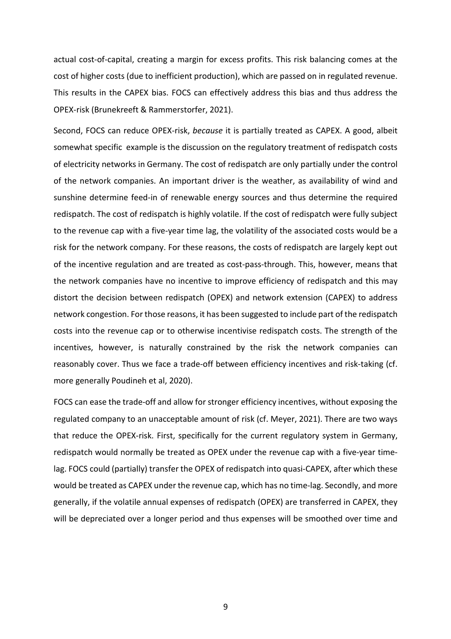actual cost-of-capital, creating a margin for excess profits. This risk balancing comes at the cost of higher costs (due to inefficient production), which are passed on in regulated revenue. This results in the CAPEX bias. FOCS can effectively address this bias and thus address the OPEX-risk (Brunekreeft & Rammerstorfer, 2021).

Second, FOCS can reduce OPEX-risk, *because* it is partially treated as CAPEX. A good, albeit somewhat specific example is the discussion on the regulatory treatment of redispatch costs of electricity networks in Germany. The cost of redispatch are only partially under the control of the network companies. An important driver is the weather, as availability of wind and sunshine determine feed-in of renewable energy sources and thus determine the required redispatch. The cost of redispatch is highly volatile. If the cost of redispatch were fully subject to the revenue cap with a five-year time lag, the volatility of the associated costs would be a risk for the network company. For these reasons, the costs of redispatch are largely kept out of the incentive regulation and are treated as cost-pass-through. This, however, means that the network companies have no incentive to improve efficiency of redispatch and this may distort the decision between redispatch (OPEX) and network extension (CAPEX) to address network congestion. For those reasons, it has been suggested to include part of the redispatch costs into the revenue cap or to otherwise incentivise redispatch costs. The strength of the incentives, however, is naturally constrained by the risk the network companies can reasonably cover. Thus we face a trade-off between efficiency incentives and risk-taking (cf. more generally Poudineh et al, 2020).

FOCS can ease the trade-off and allow for stronger efficiency incentives, without exposing the regulated company to an unacceptable amount of risk (cf. Meyer, 2021). There are two ways that reduce the OPEX-risk. First, specifically for the current regulatory system in Germany, redispatch would normally be treated as OPEX under the revenue cap with a five-year timelag. FOCS could (partially) transfer the OPEX of redispatch into quasi-CAPEX, after which these would be treated as CAPEX under the revenue cap, which has no time-lag. Secondly, and more generally, if the volatile annual expenses of redispatch (OPEX) are transferred in CAPEX, they will be depreciated over a longer period and thus expenses will be smoothed over time and

9 and 2012 and 2013 and 2014 and 2014 and 2014 and 2014 and 2014 and 2014 and 2014 and 2014 and 2014 and 2014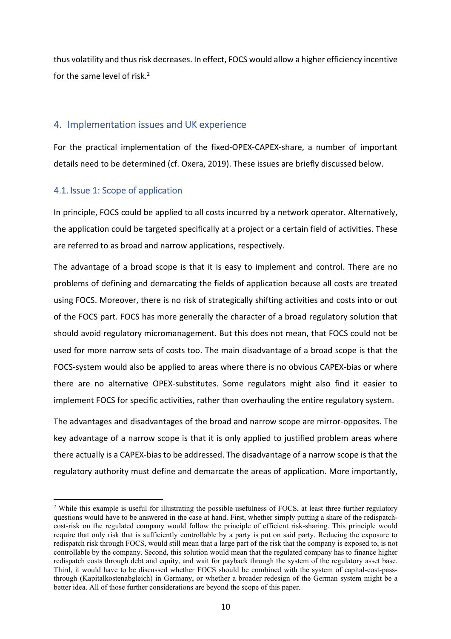thus volatility and thus risk decreases. In effect, FOCS would allow a higher efficiency incentive for the same level of risk.<sup>2</sup>

# 4. Implementation issues and UK experience

For the practical implementation of the fixed-OPEX-CAPEX-share, a number of important details need to be determined (cf. Oxera, 2019). These issues are briefly discussed below.

# 4.1. Issue 1: Scope of application

In principle, FOCS could be applied to all costs incurred by a network operator. Alternatively, the application could be targeted specifically at a project or a certain field of activities. These are referred to as broad and narrow applications, respectively.

The advantage of a broad scope is that it is easy to implement and control. There are no problems of defining and demarcating the fields of application because all costs are treated using FOCS. Moreover, there is no risk of strategically shifting activities and costs into or out of the FOCS part. FOCS has more generally the character of a broad regulatory solution that should avoid regulatory micromanagement. But this does not mean, that FOCS could not be used for more narrow sets of costs too. The main disadvantage of a broad scope is that the FOCS-system would also be applied to areas where there is no obvious CAPEX-bias or where there are no alternative OPEX-substitutes. Some regulators might also find it easier to implement FOCS for specific activities, rather than overhauling the entire regulatory system.

The advantages and disadvantages of the broad and narrow scope are mirror-opposites. The key advantage of a narrow scope is that it is only applied to justified problem areas where there actually is a CAPEX-bias to be addressed. The disadvantage of a narrow scope is that the regulatory authority must define and demarcate the areas of application. More importantly,

<sup>&</sup>lt;sup>2</sup> While this example is useful for illustrating the possible usefulness of FOCS, at least three further regulatory questions would have to be answered in the case at hand. First, whether simply putting a share of the redispatchcost-risk on the regulated company would follow the principle of efficient risk-sharing. This principle would require that only risk that is sufficiently controllable by a party is put on said party. Reducing the exposure to redispatch risk through FOCS, would still mean that a large part of the risk that the company is exposed to, is not controllable by the company. Second, this solution would mean that the regulated company has to finance higher redispatch costs through debt and equity, and wait for payback through the system of the regulatory asset base. Third, it would have to be discussed whether FOCS should be combined with the system of capital-cost-passthrough (Kapitalkostenabgleich) in Germany, or whether a broader redesign of the German system might be a better idea. All of those further considerations are beyond the scope of this paper.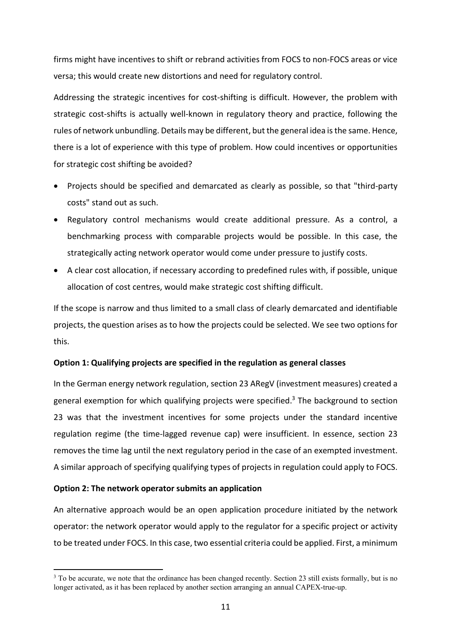firms might have incentives to shift or rebrand activities from FOCS to non-FOCS areas or vice versa; this would create new distortions and need for regulatory control.

Addressing the strategic incentives for cost-shifting is difficult. However, the problem with strategic cost-shifts is actually well-known in regulatory theory and practice, following the rules of network unbundling. Details may be different, but the general idea is the same. Hence, there is a lot of experience with this type of problem. How could incentives or opportunities for strategic cost shifting be avoided?

- Projects should be specified and demarcated as clearly as possible, so that "third-party costs" stand out as such.
- Regulatory control mechanisms would create additional pressure. As a control, a benchmarking process with comparable projects would be possible. In this case, the strategically acting network operator would come under pressure to justify costs.
- A clear cost allocation, if necessary according to predefined rules with, if possible, unique allocation of cost centres, would make strategic cost shifting difficult.

If the scope is narrow and thus limited to a small class of clearly demarcated and identifiable projects, the question arises as to how the projects could be selected. We see two options for this.

### **Option 1: Qualifying projects are specified in the regulation as general classes**

In the German energy network regulation, section 23 ARegV (investment measures) created a general exemption for which qualifying projects were specified.<sup>3</sup> The background to section 23 was that the investment incentives for some projects under the standard incentive regulation regime (the time-lagged revenue cap) were insufficient. In essence, section 23 removes the time lag until the next regulatory period in the case of an exempted investment. A similar approach of specifying qualifying types of projects in regulation could apply to FOCS.

### **Option 2: The network operator submits an application**

An alternative approach would be an open application procedure initiated by the network operator: the network operator would apply to the regulator for a specific project or activity to be treated under FOCS. In this case, two essential criteria could be applied. First, a minimum

<sup>&</sup>lt;sup>3</sup> To be accurate, we note that the ordinance has been changed recently. Section 23 still exists formally, but is no longer activated, as it has been replaced by another section arranging an annual CAPEX-true-up.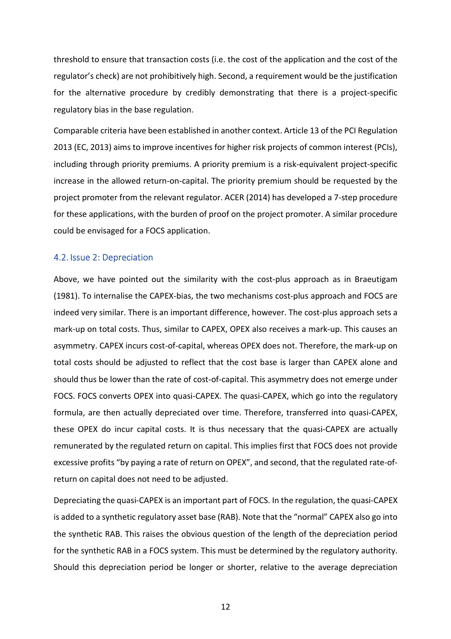threshold to ensure that transaction costs (i.e. the cost of the application and the cost of the regulator's check) are not prohibitively high. Second, a requirement would be the justification for the alternative procedure by credibly demonstrating that there is a project-specific regulatory bias in the base regulation.

Comparable criteria have been established in another context. Article 13 of the PCI Regulation 2013 (EC, 2013) aims to improve incentives for higher risk projects of common interest (PCIs), including through priority premiums. A priority premium is a risk-equivalent project-specific increase in the allowed return-on-capital. The priority premium should be requested by the project promoter from the relevant regulator. ACER (2014) has developed a 7-step procedure for these applications, with the burden of proof on the project promoter. A similar procedure could be envisaged for a FOCS application.

# 4.2. Issue 2: Depreciation

Above, we have pointed out the similarity with the cost-plus approach as in Braeutigam (1981). To internalise the CAPEX-bias, the two mechanisms cost-plus approach and FOCS are indeed very similar. There is an important difference, however. The cost-plus approach sets a mark-up on total costs. Thus, similar to CAPEX, OPEX also receives a mark-up. This causes an asymmetry. CAPEX incurs cost-of-capital, whereas OPEX does not. Therefore, the mark-up on total costs should be adjusted to reflect that the cost base is larger than CAPEX alone and should thus be lower than the rate of cost-of-capital. This asymmetry does not emerge under FOCS. FOCS converts OPEX into quasi-CAPEX. The quasi-CAPEX, which go into the regulatory formula, are then actually depreciated over time. Therefore, transferred into quasi-CAPEX, these OPEX do incur capital costs. It is thus necessary that the quasi-CAPEX are actually remunerated by the regulated return on capital. This implies first that FOCS does not provide excessive profits "by paying a rate of return on OPEX", and second, that the regulated rate-ofreturn on capital does not need to be adjusted.

Depreciating the quasi-CAPEX is an important part of FOCS. In the regulation, the quasi-CAPEX is added to a synthetic regulatory asset base (RAB). Note that the "normal" CAPEX also go into the synthetic RAB. This raises the obvious question of the length of the depreciation period for the synthetic RAB in a FOCS system. This must be determined by the regulatory authority. Should this depreciation period be longer or shorter, relative to the average depreciation

<u>12</u>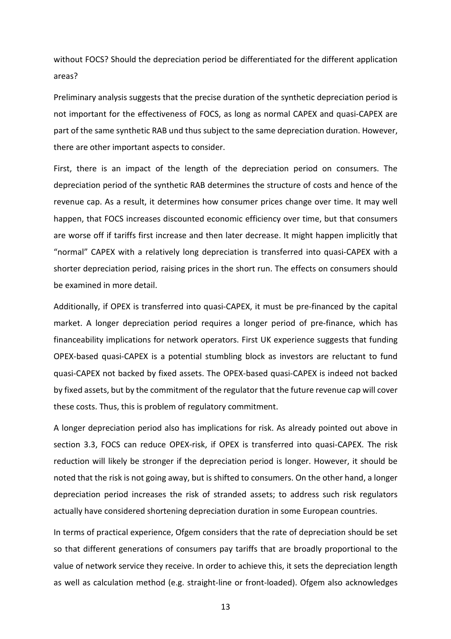without FOCS? Should the depreciation period be differentiated for the different application areas?

Preliminary analysis suggests that the precise duration of the synthetic depreciation period is not important for the effectiveness of FOCS, as long as normal CAPEX and quasi-CAPEX are part of the same synthetic RAB und thus subject to the same depreciation duration. However, there are other important aspects to consider.

First, there is an impact of the length of the depreciation period on consumers. The depreciation period of the synthetic RAB determines the structure of costs and hence of the revenue cap. As a result, it determines how consumer prices change over time. It may well happen, that FOCS increases discounted economic efficiency over time, but that consumers are worse off if tariffs first increase and then later decrease. It might happen implicitly that "normal" CAPEX with a relatively long depreciation is transferred into quasi-CAPEX with a shorter depreciation period, raising prices in the short run. The effects on consumers should be examined in more detail.

Additionally, if OPEX is transferred into quasi-CAPEX, it must be pre-financed by the capital market. A longer depreciation period requires a longer period of pre-finance, which has financeability implications for network operators. First UK experience suggests that funding OPEX-based quasi-CAPEX is a potential stumbling block as investors are reluctant to fund quasi-CAPEX not backed by fixed assets. The OPEX-based quasi-CAPEX is indeed not backed by fixed assets, but by the commitment of the regulator that the future revenue cap will cover these costs. Thus, this is problem of regulatory commitment.

A longer depreciation period also has implications for risk. As already pointed out above in section 3.3, FOCS can reduce OPEX-risk, if OPEX is transferred into quasi-CAPEX. The risk reduction will likely be stronger if the depreciation period is longer. However, it should be noted that the risk is not going away, but is shifted to consumers. On the other hand, a longer depreciation period increases the risk of stranded assets; to address such risk regulators actually have considered shortening depreciation duration in some European countries.

In terms of practical experience, Ofgem considers that the rate of depreciation should be set so that different generations of consumers pay tariffs that are broadly proportional to the value of network service they receive. In order to achieve this, it sets the depreciation length as well as calculation method (e.g. straight-line or front-loaded). Ofgem also acknowledges

13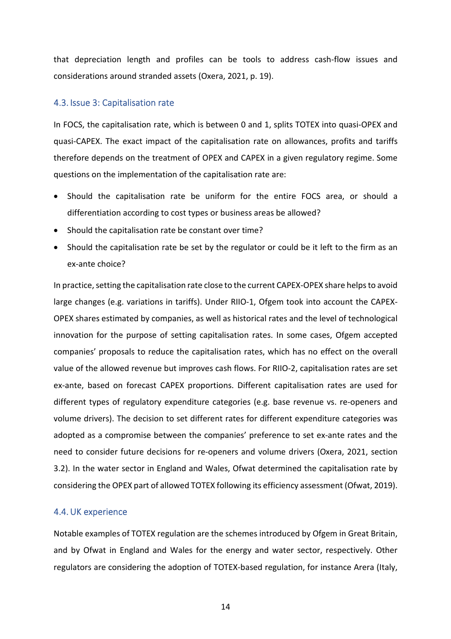that depreciation length and profiles can be tools to address cash-flow issues and considerations around stranded assets (Oxera, 2021, p. 19).

## 4.3. Issue 3: Capitalisation rate

In FOCS, the capitalisation rate, which is between 0 and 1, splits TOTEX into quasi-OPEX and quasi-CAPEX. The exact impact of the capitalisation rate on allowances, profits and tariffs therefore depends on the treatment of OPEX and CAPEX in a given regulatory regime. Some questions on the implementation of the capitalisation rate are:

- Should the capitalisation rate be uniform for the entire FOCS area, or should a differentiation according to cost types or business areas be allowed?
- Should the capitalisation rate be constant over time?
- Should the capitalisation rate be set by the regulator or could be it left to the firm as an ex-ante choice?

In practice, setting the capitalisation rate close to the current CAPEX-OPEX share helps to avoid large changes (e.g. variations in tariffs). Under RIIO-1, Ofgem took into account the CAPEX-OPEX shares estimated by companies, as well as historical rates and the level of technological innovation for the purpose of setting capitalisation rates. In some cases, Ofgem accepted companies' proposals to reduce the capitalisation rates, which has no effect on the overall value of the allowed revenue but improves cash flows. For RIIO-2, capitalisation rates are set ex-ante, based on forecast CAPEX proportions. Different capitalisation rates are used for different types of regulatory expenditure categories (e.g. base revenue vs. re-openers and volume drivers). The decision to set different rates for different expenditure categories was adopted as a compromise between the companies' preference to set ex-ante rates and the need to consider future decisions for re-openers and volume drivers (Oxera, 2021, section 3.2). In the water sector in England and Wales, Ofwat determined the capitalisation rate by considering the OPEX part of allowed TOTEX following its efficiency assessment (Ofwat, 2019).

### 4.4.UK experience

Notable examples of TOTEX regulation are the schemes introduced by Ofgem in Great Britain, and by Ofwat in England and Wales for the energy and water sector, respectively. Other regulators are considering the adoption of TOTEX-based regulation, for instance Arera (Italy,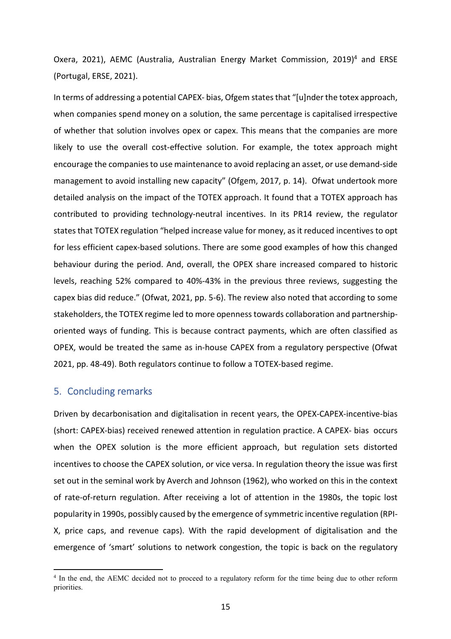Oxera, 2021), AEMC (Australia, Australian Energy Market Commission, 2019)<sup>4</sup> and ERSE (Portugal, ERSE, 2021).

In terms of addressing a potential CAPEX- bias, Ofgem states that "[u]nder the totex approach, when companies spend money on a solution, the same percentage is capitalised irrespective of whether that solution involves opex or capex. This means that the companies are more likely to use the overall cost-effective solution. For example, the totex approach might encourage the companies to use maintenance to avoid replacing an asset, or use demand-side management to avoid installing new capacity" (Ofgem, 2017, p. 14). Ofwat undertook more detailed analysis on the impact of the TOTEX approach. It found that a TOTEX approach has contributed to providing technology-neutral incentives. In its PR14 review, the regulator states that TOTEX regulation "helped increase value for money, as it reduced incentives to opt for less efficient capex-based solutions. There are some good examples of how this changed behaviour during the period. And, overall, the OPEX share increased compared to historic levels, reaching 52% compared to 40%-43% in the previous three reviews, suggesting the capex bias did reduce." (Ofwat, 2021, pp. 5-6). The review also noted that according to some stakeholders, the TOTEX regime led to more openness towards collaboration and partnershiporiented ways of funding. This is because contract payments, which are often classified as OPEX, would be treated the same as in-house CAPEX from a regulatory perspective (Ofwat 2021, pp. 48-49). Both regulators continue to follow a TOTEX-based regime.

# 5. Concluding remarks

Driven by decarbonisation and digitalisation in recent years, the OPEX-CAPEX-incentive-bias (short: CAPEX-bias) received renewed attention in regulation practice. A CAPEX- bias occurs when the OPEX solution is the more efficient approach, but regulation sets distorted incentives to choose the CAPEX solution, or vice versa. In regulation theory the issue was first set out in the seminal work by Averch and Johnson (1962), who worked on this in the context of rate-of-return regulation. After receiving a lot of attention in the 1980s, the topic lost popularity in 1990s, possibly caused by the emergence of symmetric incentive regulation (RPI-X, price caps, and revenue caps). With the rapid development of digitalisation and the emergence of 'smart' solutions to network congestion, the topic is back on the regulatory

<sup>&</sup>lt;sup>4</sup> In the end, the AEMC decided not to proceed to a regulatory reform for the time being due to other reform priorities.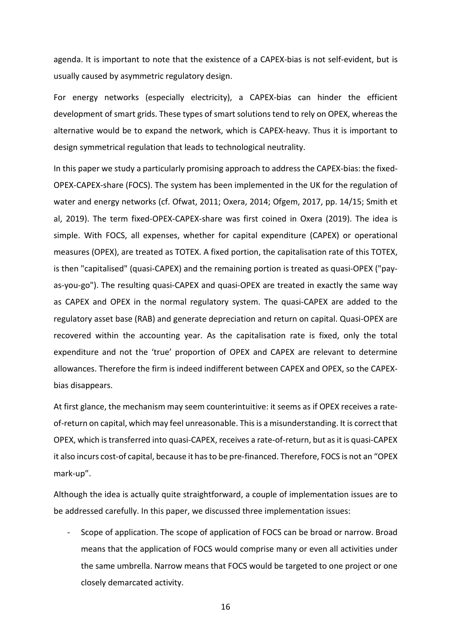agenda. It is important to note that the existence of a CAPEX-bias is not self-evident, but is usually caused by asymmetric regulatory design.

For energy networks (especially electricity), a CAPEX-bias can hinder the efficient development of smart grids. These types of smart solutions tend to rely on OPEX, whereas the alternative would be to expand the network, which is CAPEX-heavy. Thus it is important to design symmetrical regulation that leads to technological neutrality.

In this paper we study a particularly promising approach to address the CAPEX-bias: the fixed-OPEX-CAPEX-share (FOCS). The system has been implemented in the UK for the regulation of water and energy networks (cf. Ofwat, 2011; Oxera, 2014; Ofgem, 2017, pp. 14/15; Smith et al, 2019). The term fixed-OPEX-CAPEX-share was first coined in Oxera (2019). The idea is simple. With FOCS, all expenses, whether for capital expenditure (CAPEX) or operational measures (OPEX), are treated as TOTEX. A fixed portion, the capitalisation rate of this TOTEX, is then "capitalised" (quasi-CAPEX) and the remaining portion is treated as quasi-OPEX ("payas-you-go"). The resulting quasi-CAPEX and quasi-OPEX are treated in exactly the same way as CAPEX and OPEX in the normal regulatory system. The quasi-CAPEX are added to the regulatory asset base (RAB) and generate depreciation and return on capital. Quasi-OPEX are recovered within the accounting year. As the capitalisation rate is fixed, only the total expenditure and not the 'true' proportion of OPEX and CAPEX are relevant to determine allowances. Therefore the firm is indeed indifferent between CAPEX and OPEX, so the CAPEXbias disappears.

At first glance, the mechanism may seem counterintuitive: it seems as if OPEX receives a rateof-return on capital, which may feel unreasonable. This is a misunderstanding. It is correct that OPEX, which is transferred into quasi-CAPEX, receives a rate-of-return, but as it is quasi-CAPEX it also incurs cost-of capital, because it has to be pre-financed. Therefore, FOCS is not an "OPEX mark-up".

Although the idea is actually quite straightforward, a couple of implementation issues are to be addressed carefully. In this paper, we discussed three implementation issues:

- Scope of application. The scope of application of FOCS can be broad or narrow. Broad means that the application of FOCS would comprise many or even all activities under the same umbrella. Narrow means that FOCS would be targeted to one project or one closely demarcated activity.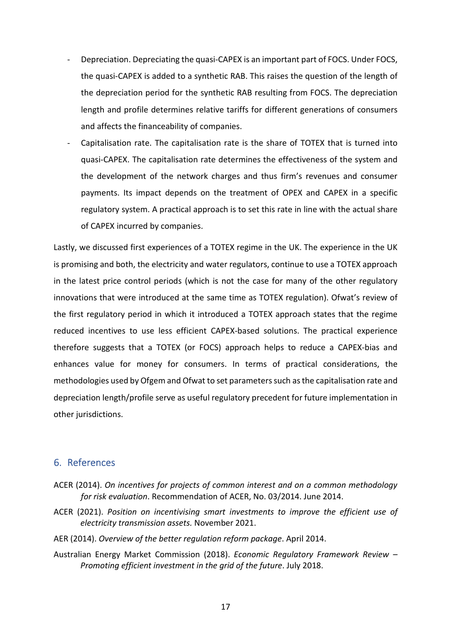- Depreciation. Depreciating the quasi-CAPEX is an important part of FOCS. Under FOCS, the quasi-CAPEX is added to a synthetic RAB. This raises the question of the length of the depreciation period for the synthetic RAB resulting from FOCS. The depreciation length and profile determines relative tariffs for different generations of consumers and affects the financeability of companies.
- Capitalisation rate. The capitalisation rate is the share of TOTEX that is turned into quasi-CAPEX. The capitalisation rate determines the effectiveness of the system and the development of the network charges and thus firm's revenues and consumer payments. Its impact depends on the treatment of OPEX and CAPEX in a specific regulatory system. A practical approach is to set this rate in line with the actual share of CAPEX incurred by companies.

Lastly, we discussed first experiences of a TOTEX regime in the UK. The experience in the UK is promising and both, the electricity and water regulators, continue to use a TOTEX approach in the latest price control periods (which is not the case for many of the other regulatory innovations that were introduced at the same time as TOTEX regulation). Ofwat's review of the first regulatory period in which it introduced a TOTEX approach states that the regime reduced incentives to use less efficient CAPEX-based solutions. The practical experience therefore suggests that a TOTEX (or FOCS) approach helps to reduce a CAPEX-bias and enhances value for money for consumers. In terms of practical considerations, the methodologies used by Ofgem and Ofwat to set parameters such as the capitalisation rate and depreciation length/profile serve as useful regulatory precedent for future implementation in other jurisdictions.

# 6. References

- ACER (2014). *On incentives for projects of common interest and on a common methodology for risk evaluation*. Recommendation of ACER, No. 03/2014. June 2014.
- ACER (2021). *Position on incentivising smart investments to improve the efficient use of electricity transmission assets.* November 2021.
- AER (2014). *Overview of the better regulation reform package*. April 2014.
- Australian Energy Market Commission (2018). *Economic Regulatory Framework Review Promoting efficient investment in the grid of the future*. July 2018.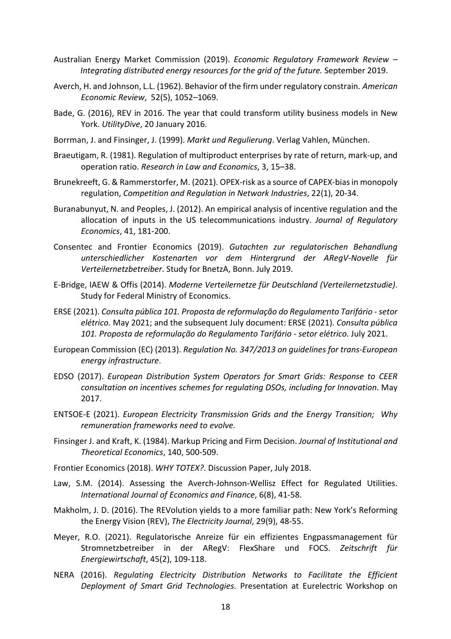- Australian Energy Market Commission (2019). *Economic Regulatory Framework Review Integrating distributed energy resources for the grid of the future.* September 2019.
- Averch, H. and Johnson, L.L. (1962). Behavior of the firm under regulatory constrain. *American Economic Review*, 52(5), 1052–1069.
- Bade, G. (2016), REV in 2016. The year that could transform utility business models in New York. *UtilityDive*, 20 January 2016.
- Borrman, J. and Finsinger, J. (1999). *Markt und Regulierung*. Verlag Vahlen, München.
- Braeutigam, R. (1981). Regulation of multiproduct enterprises by rate of return, mark-up, and operation ratio. *Research in Law and Economics*, 3, 15–38.
- Brunekreeft, G. & Rammerstorfer, M. (2021). OPEX-risk as a source of CAPEX-bias in monopoly regulation, *Competition and Regulation in Network Industries*, 22(1), 20-34.
- Buranabunyut, N. and Peoples, J. (2012). An empirical analysis of incentive regulation and the allocation of inputs in the US telecommunications industry. *Journal of Regulatory Economics*, 41, 181-200.
- Consentec and Frontier Economics (2019). *Gutachten zur regulatorischen Behandlung unterschiedlicher Kostenarten vor dem Hintergrund der ARegV-Novelle für Verteilernetzbetreiber*. Study for BnetzA, Bonn. July 2019.
- E-Bridge, IAEW & Offis (2014). *Moderne Verteilernetze für Deutschland (Verteilernetzstudie)*. Study for Federal Ministry of Economics.
- ERSE (2021). *Consulta pública 101. Proposta de reformulação do Regulamento Tarifário setor elétrico.* May 2021; and the subsequent July document: ERSE (2021). *Consulta pública 101. Proposta de reformulação do Regulamento Tarifário - setor elétrico.* July 2021.
- European Commission (EC) (2013). *Regulation No. 347/2013 on guidelines for trans-European energy infrastructure*.
- EDSO (2017). *European Distribution System Operators for Smart Grids: Response to CEER consultation on incentives schemes for regulating DSOs, including for Innovation*. May 2017.
- ENTSOE-E (2021). *European Electricity Transmission Grids and the Energy Transition; Why remuneration frameworks need to evolve.*
- Finsinger J. and Kraft, K. (1984). Markup Pricing and Firm Decision. *Journal of Institutional and Theoretical Economics*, 140, 500-509.
- Frontier Economics (2018). *WHY TOTEX?*. Discussion Paper, July 2018.
- Law, S.M. (2014). Assessing the Averch-Johnson-Wellisz Effect for Regulated Utilities. *International Journal of Economics and Finance*, 6(8), 41-58.
- Makholm, J. D. (2016). The REVolution yields to a more familiar path: New York's Reforming the Energy Vision (REV), *The Electricity Journal*, 29(9), 48-55.
- Meyer, R.O. (2021). Regulatorische Anreize für ein effizientes Engpassmanagement für Stromnetzbetreiber in der ARegV: FlexShare und FOCS. *Zeitschrift für Energiewirtschaft*, 45(2), 109-118.
- NERA (2016). *Regulating Electricity Distribution Networks to Facilitate the Efficient Deployment of Smart Grid Technologies.* Presentation at Eurelectric Workshop on